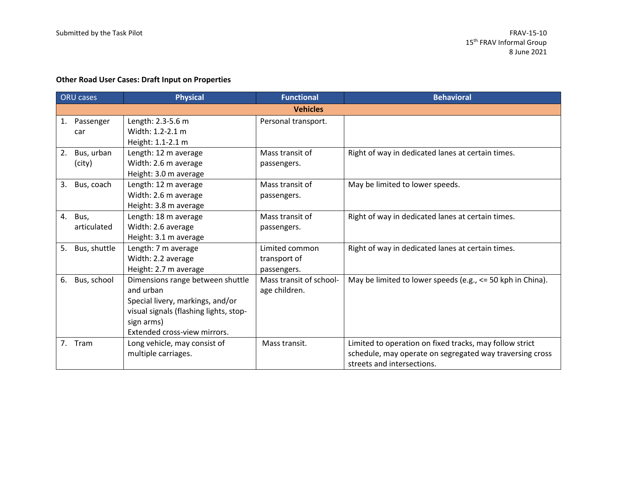## **Other Road User Cases: Draft Input on Properties**

| <b>ORU</b> cases |              | <b>Physical</b>                        | <b>Functional</b>       | <b>Behavioral</b>                                          |
|------------------|--------------|----------------------------------------|-------------------------|------------------------------------------------------------|
|                  |              |                                        | <b>Vehicles</b>         |                                                            |
| 1.               | Passenger    | Length: 2.3-5.6 m                      | Personal transport.     |                                                            |
|                  | car          | Width: 1.2-2.1 m                       |                         |                                                            |
|                  |              | Height: 1.1-2.1 m                      |                         |                                                            |
| 2.               | Bus, urban   | Length: 12 m average                   | Mass transit of         | Right of way in dedicated lanes at certain times.          |
|                  | (city)       | Width: 2.6 m average                   | passengers.             |                                                            |
|                  |              | Height: 3.0 m average                  |                         |                                                            |
| 3.               | Bus, coach   | Length: 12 m average                   | Mass transit of         | May be limited to lower speeds.                            |
|                  |              | Width: 2.6 m average                   | passengers.             |                                                            |
|                  |              | Height: 3.8 m average                  |                         |                                                            |
| 4.               | Bus,         | Length: 18 m average                   | Mass transit of         | Right of way in dedicated lanes at certain times.          |
|                  | articulated  | Width: 2.6 average                     | passengers.             |                                                            |
|                  |              | Height: 3.1 m average                  |                         |                                                            |
| 5.               | Bus, shuttle | Length: 7 m average                    | Limited common          | Right of way in dedicated lanes at certain times.          |
|                  |              | Width: 2.2 average                     | transport of            |                                                            |
|                  |              | Height: 2.7 m average                  | passengers.             |                                                            |
| 6.               | Bus, school  | Dimensions range between shuttle       | Mass transit of school- | May be limited to lower speeds (e.g., <= 50 kph in China). |
|                  |              | and urban                              | age children.           |                                                            |
|                  |              | Special livery, markings, and/or       |                         |                                                            |
|                  |              | visual signals (flashing lights, stop- |                         |                                                            |
|                  |              | sign arms)                             |                         |                                                            |
|                  |              | Extended cross-view mirrors.           |                         |                                                            |
| 7 <sub>1</sub>   | Tram         | Long vehicle, may consist of           | Mass transit.           | Limited to operation on fixed tracks, may follow strict    |
|                  |              | multiple carriages.                    |                         | schedule, may operate on segregated way traversing cross   |
|                  |              |                                        |                         | streets and intersections.                                 |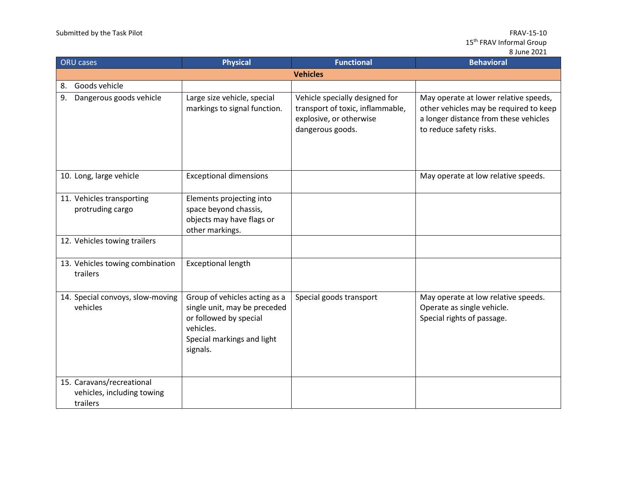| <b>ORU</b> cases |                                                                     | <b>Physical</b>                                                                                                                                | <b>Functional</b>                                                                                                 | <b>Behavioral</b>                                                                                                                                   |  |
|------------------|---------------------------------------------------------------------|------------------------------------------------------------------------------------------------------------------------------------------------|-------------------------------------------------------------------------------------------------------------------|-----------------------------------------------------------------------------------------------------------------------------------------------------|--|
|                  | <b>Vehicles</b>                                                     |                                                                                                                                                |                                                                                                                   |                                                                                                                                                     |  |
| 8.               | Goods vehicle                                                       |                                                                                                                                                |                                                                                                                   |                                                                                                                                                     |  |
| 9.               | Dangerous goods vehicle                                             | Large size vehicle, special<br>markings to signal function.                                                                                    | Vehicle specially designed for<br>transport of toxic, inflammable,<br>explosive, or otherwise<br>dangerous goods. | May operate at lower relative speeds,<br>other vehicles may be required to keep<br>a longer distance from these vehicles<br>to reduce safety risks. |  |
|                  | 10. Long, large vehicle                                             | <b>Exceptional dimensions</b>                                                                                                                  |                                                                                                                   | May operate at low relative speeds.                                                                                                                 |  |
|                  | 11. Vehicles transporting<br>protruding cargo                       | Elements projecting into<br>space beyond chassis,<br>objects may have flags or<br>other markings.                                              |                                                                                                                   |                                                                                                                                                     |  |
|                  | 12. Vehicles towing trailers                                        |                                                                                                                                                |                                                                                                                   |                                                                                                                                                     |  |
|                  | 13. Vehicles towing combination<br>trailers                         | <b>Exceptional length</b>                                                                                                                      |                                                                                                                   |                                                                                                                                                     |  |
|                  | 14. Special convoys, slow-moving<br>vehicles                        | Group of vehicles acting as a<br>single unit, may be preceded<br>or followed by special<br>vehicles.<br>Special markings and light<br>signals. | Special goods transport                                                                                           | May operate at low relative speeds.<br>Operate as single vehicle.<br>Special rights of passage.                                                     |  |
|                  | 15. Caravans/recreational<br>vehicles, including towing<br>trailers |                                                                                                                                                |                                                                                                                   |                                                                                                                                                     |  |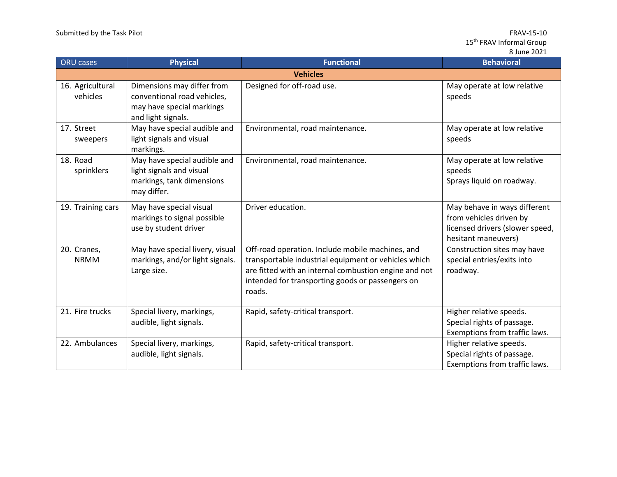| <b>ORU</b> cases             | <b>Physical</b>                                                                                              | <b>Functional</b>                                                                                                                                                                                                               | <b>Behavioral</b>                                                                                                 |  |  |
|------------------------------|--------------------------------------------------------------------------------------------------------------|---------------------------------------------------------------------------------------------------------------------------------------------------------------------------------------------------------------------------------|-------------------------------------------------------------------------------------------------------------------|--|--|
| <b>Vehicles</b>              |                                                                                                              |                                                                                                                                                                                                                                 |                                                                                                                   |  |  |
| 16. Agricultural<br>vehicles | Dimensions may differ from<br>conventional road vehicles,<br>may have special markings<br>and light signals. | Designed for off-road use.                                                                                                                                                                                                      | May operate at low relative<br>speeds                                                                             |  |  |
| 17. Street<br>sweepers       | May have special audible and<br>light signals and visual<br>markings.                                        | Environmental, road maintenance.                                                                                                                                                                                                | May operate at low relative<br>speeds                                                                             |  |  |
| 18. Road<br>sprinklers       | May have special audible and<br>light signals and visual<br>markings, tank dimensions<br>may differ.         | Environmental, road maintenance.                                                                                                                                                                                                | May operate at low relative<br>speeds<br>Sprays liquid on roadway.                                                |  |  |
| 19. Training cars            | May have special visual<br>markings to signal possible<br>use by student driver                              | Driver education.                                                                                                                                                                                                               | May behave in ways different<br>from vehicles driven by<br>licensed drivers (slower speed,<br>hesitant maneuvers) |  |  |
| 20. Cranes,<br><b>NRMM</b>   | May have special livery, visual<br>markings, and/or light signals.<br>Large size.                            | Off-road operation. Include mobile machines, and<br>transportable industrial equipment or vehicles which<br>are fitted with an internal combustion engine and not<br>intended for transporting goods or passengers on<br>roads. | Construction sites may have<br>special entries/exits into<br>roadway.                                             |  |  |
| 21. Fire trucks              | Special livery, markings,<br>audible, light signals.                                                         | Rapid, safety-critical transport.                                                                                                                                                                                               | Higher relative speeds.<br>Special rights of passage.<br>Exemptions from traffic laws.                            |  |  |
| 22. Ambulances               | Special livery, markings,<br>audible, light signals.                                                         | Rapid, safety-critical transport.                                                                                                                                                                                               | Higher relative speeds.<br>Special rights of passage.<br>Exemptions from traffic laws.                            |  |  |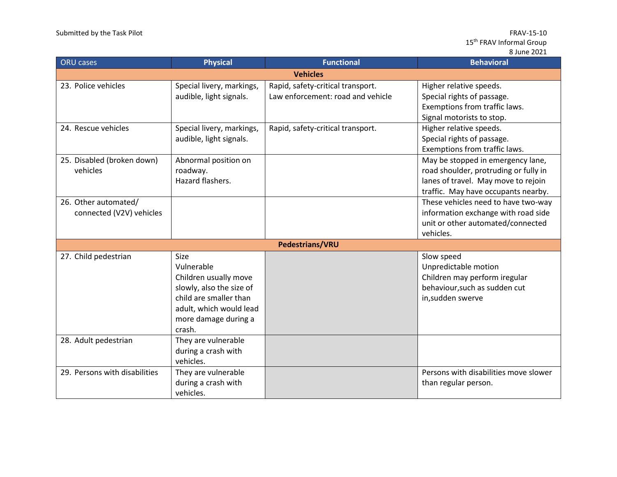| <b>ORU</b> cases                                 | <b>Physical</b>                                                                                                                                                       | <b>Functional</b>                                                      | <b>Behavioral</b>                                                                                                                                        |  |
|--------------------------------------------------|-----------------------------------------------------------------------------------------------------------------------------------------------------------------------|------------------------------------------------------------------------|----------------------------------------------------------------------------------------------------------------------------------------------------------|--|
| <b>Vehicles</b>                                  |                                                                                                                                                                       |                                                                        |                                                                                                                                                          |  |
| 23. Police vehicles                              | Special livery, markings,<br>audible, light signals.                                                                                                                  | Rapid, safety-critical transport.<br>Law enforcement: road and vehicle | Higher relative speeds.<br>Special rights of passage.<br>Exemptions from traffic laws.<br>Signal motorists to stop.                                      |  |
| 24. Rescue vehicles                              | Special livery, markings,<br>audible, light signals.                                                                                                                  | Rapid, safety-critical transport.                                      | Higher relative speeds.<br>Special rights of passage.<br>Exemptions from traffic laws.                                                                   |  |
| 25. Disabled (broken down)<br>vehicles           | Abnormal position on<br>roadway.<br>Hazard flashers.                                                                                                                  |                                                                        | May be stopped in emergency lane,<br>road shoulder, protruding or fully in<br>lanes of travel. May move to rejoin<br>traffic. May have occupants nearby. |  |
| 26. Other automated/<br>connected (V2V) vehicles |                                                                                                                                                                       |                                                                        | These vehicles need to have two-way<br>information exchange with road side<br>unit or other automated/connected<br>vehicles.                             |  |
|                                                  |                                                                                                                                                                       | <b>Pedestrians/VRU</b>                                                 |                                                                                                                                                          |  |
| 27. Child pedestrian                             | <b>Size</b><br>Vulnerable<br>Children usually move<br>slowly, also the size of<br>child are smaller than<br>adult, which would lead<br>more damage during a<br>crash. |                                                                        | Slow speed<br>Unpredictable motion<br>Children may perform iregular<br>behaviour, such as sudden cut<br>in, sudden swerve                                |  |
| 28. Adult pedestrian                             | They are vulnerable<br>during a crash with<br>vehicles.                                                                                                               |                                                                        |                                                                                                                                                          |  |
| 29. Persons with disabilities                    | They are vulnerable<br>during a crash with<br>vehicles.                                                                                                               |                                                                        | Persons with disabilities move slower<br>than regular person.                                                                                            |  |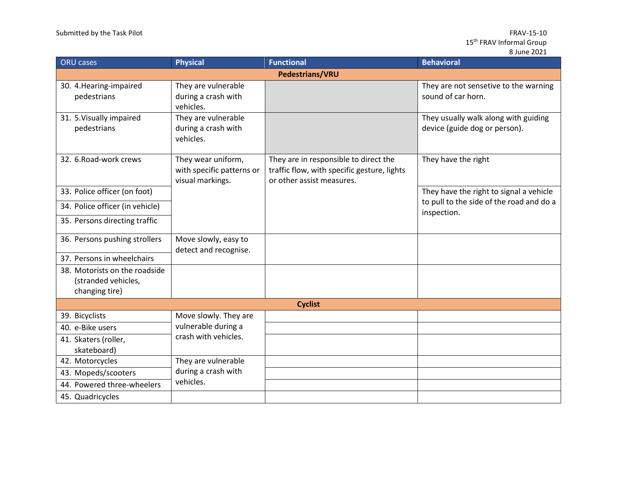| <b>ORU</b> cases                                                       | <b>Physical</b>                                                     | <b>Functional</b>                                                                                                 | <b>Behavioral</b>                                                     |  |  |
|------------------------------------------------------------------------|---------------------------------------------------------------------|-------------------------------------------------------------------------------------------------------------------|-----------------------------------------------------------------------|--|--|
|                                                                        |                                                                     | <b>Pedestrians/VRU</b>                                                                                            |                                                                       |  |  |
| 30. 4. Hearing-impaired<br>pedestrians                                 | They are vulnerable<br>during a crash with<br>vehicles.             |                                                                                                                   | They are not sensetive to the warning<br>sound of car horn.           |  |  |
| 31. 5. Visually impaired<br>pedestrians                                | They are vulnerable<br>during a crash with<br>vehicles.             |                                                                                                                   | They usually walk along with guiding<br>device (guide dog or person). |  |  |
| 32. 6. Road-work crews                                                 | They wear uniform,<br>with specific patterns or<br>visual markings. | They are in responsible to direct the<br>traffic flow, with specific gesture, lights<br>or other assist measures. | They have the right                                                   |  |  |
| 33. Police officer (on foot)                                           |                                                                     |                                                                                                                   | They have the right to signal a vehicle                               |  |  |
| 34. Police officer (in vehicle)                                        |                                                                     |                                                                                                                   | to pull to the side of the road and do a<br>inspection.               |  |  |
| 35. Persons directing traffic                                          |                                                                     |                                                                                                                   |                                                                       |  |  |
| 36. Persons pushing strollers                                          | Move slowly, easy to<br>detect and recognise.                       |                                                                                                                   |                                                                       |  |  |
| 37. Persons in wheelchairs                                             |                                                                     |                                                                                                                   |                                                                       |  |  |
| 38. Motorists on the roadside<br>(stranded vehicles,<br>changing tire) |                                                                     |                                                                                                                   |                                                                       |  |  |
| <b>Cyclist</b>                                                         |                                                                     |                                                                                                                   |                                                                       |  |  |
| 39. Bicyclists                                                         | Move slowly. They are                                               |                                                                                                                   |                                                                       |  |  |
| 40. e-Bike users                                                       | vulnerable during a                                                 |                                                                                                                   |                                                                       |  |  |
| 41. Skaters (roller,<br>skateboard)                                    | crash with vehicles.                                                |                                                                                                                   |                                                                       |  |  |
| 42. Motorcycles                                                        | They are vulnerable                                                 |                                                                                                                   |                                                                       |  |  |
| 43. Mopeds/scooters                                                    | during a crash with                                                 |                                                                                                                   |                                                                       |  |  |
| 44. Powered three-wheelers                                             | vehicles.                                                           |                                                                                                                   |                                                                       |  |  |
| 45. Quadricycles                                                       |                                                                     |                                                                                                                   |                                                                       |  |  |